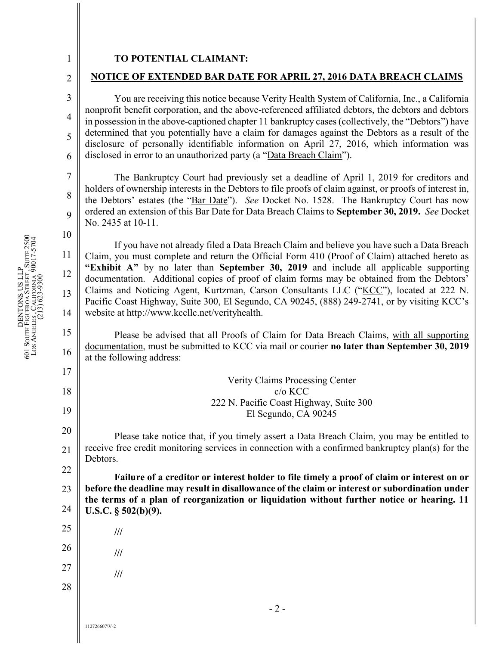## TO POTENTIAL CLAIMANT:

2 3

4

5

6

7

8

9

10

1

## NOTICE OF EXTENDED BAR DATE FOR APRIL 27, 2016 DATA BREACH CLAIMS

You are receiving this notice because Verity Health System of California, Inc., a California nonprofit benefit corporation, and the above-referenced affiliated debtors, the debtors and debtors in possession in the above-captioned chapter 11 bankruptcy cases (collectively, the "Debtors") have determined that you potentially have a claim for damages against the Debtors as a result of the disclosure of personally identifiable information on April 27, 2016, which information was disclosed in error to an unauthorized party (a "Data Breach Claim").

The Bankruptcy Court had previously set a deadline of April 1, 2019 for creditors and holders of ownership interests in the Debtors to file proofs of claim against, or proofs of interest in, the Debtors' estates (the "Bar Date"). See Docket No. 1528. The Bankruptcy Court has now ordered an extension of this Bar Date for Data Breach Claims to September 30, 2019. See Docket No. 2435 at 10-11.

11 12 13 14  $\begin{array}{c|c|c|c} \n\text{z} & & 10 & & \text{if } y\text{c} \\ \n\text{z} & & 11 & & \text{Claim, you} \\ \n\text{z} & & 12 & & \text{f.} \\ \n\text{z} & & 13 & & \text{c.} \\ \n\text{z} & & 14 & & \text{Pacific Coa} \\ \n\text{z} & & 15 & & \text{Plea} \n\end{array}$ If you have not already filed a Data Breach Claim and believe you have such a Data Breach Claim, you must complete and return the Official Form 410 (Proof of Claim) attached hereto as "Exhibit A" by no later than September 30, 2019 and include all applicable supporting documentation. Additional copies of proof of claim forms may be obtained from the Debtors' Claims and Noticing Agent, Kurtzman, Carson Consultants LLC ("KCC"), located at 222 N. Pacific Coast Highway, Suite 300, El Segundo, CA 90245, (888) 249-2741, or by visiting KCC's website at http://www.kccllc.net/verityhealth.

15 16  $\frac{8}{16}$   $\frac{loc}{4}$ Please be advised that all Proofs of Claim for Data Breach Claims, with all supporting documentation, must be submitted to KCC via mail or courier no later than September 30, 2019 at the following address:

17 18 19 20 21 22 23 24 25 26 27  $\frac{22}{21}$ <br>  $23$ <br>  $24$ <br>  $25$ <br>  $26$ <br>  $27$ <br>  $28$ <br>  $29$ <br>  $20$ <br>  $21$ <br>  $22$ <br>  $23$ <br>  $25$ <br>  $26$ <br>  $27$ <br>  $28$ <br>  $29$ <br>  $20$ <br>  $21$ <br>  $22$ <br>  $23$ <br>  $25$ <br>  $26$ <br>  $27$ <br>  $28$ <br>  $29$ <br>  $20$ <br>  $21$ <br>  $22$ <br>  $23$ <br>  $24$ <br>  $25$ <br>  $26$ <br>  $27$ <br>  $28$ <br>  $29$ Verity Claims Processing Center c/o KCC 222 N. Pacific Coast Highway, Suite 300 El Segundo, CA 90245 Please take notice that, if you timely assert a Data Breach Claim, you may be entitled to receive free credit monitoring services in connection with a confirmed bankruptcy plan(s) for the Debtors. Failure of a creditor or interest holder to file timely a proof of claim or interest on or before the deadline may result in disallowance of the claim or interest or subordination under the terms of a plan of reorganization or liquidation without further notice or hearing. 11 U.S.C. § 502(b)(9). /// /// ///